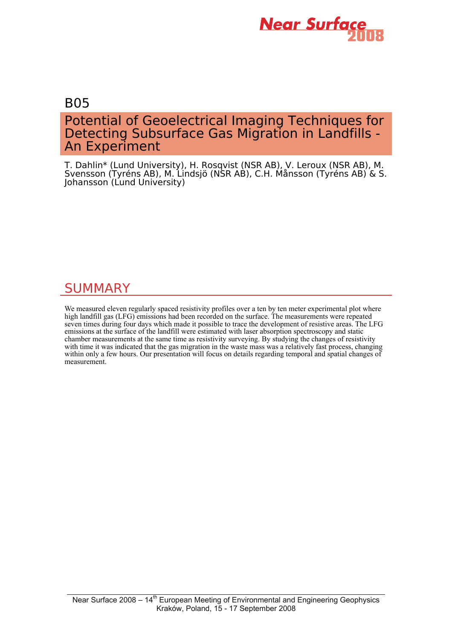

## B05

# Potential of Geoelectrical Imaging Techniques for Detecting Subsurface Gas Migration in Landfills - An Experiment

T. Dahlin\* (Lund University), H. Rosqvist (NSR AB), V. Leroux (NSR AB), M. Svensson (Tyréns AB), M. Lindsjö (NSR AB), C.H. Månsson (Tyréns AB) & S. Johansson (Lund University)

# **SUMMARY**

We measured eleven regularly spaced resistivity profiles over a ten by ten meter experimental plot where high landfill gas (LFG) emissions had been recorded on the surface. The measurements were repeated seven times during four days which made it possible to trace the development of resistive areas. The LFG emissions at the surface of the landfill were estimated with laser absorption spectroscopy and static chamber measurements at the same time as resistivity surveying. By studying the changes of resistivity with time it was indicated that the gas migration in the waste mass was a relatively fast process, changing within only a few hours. Our presentation will focus on details regarding temporal and spatial changes of measurement.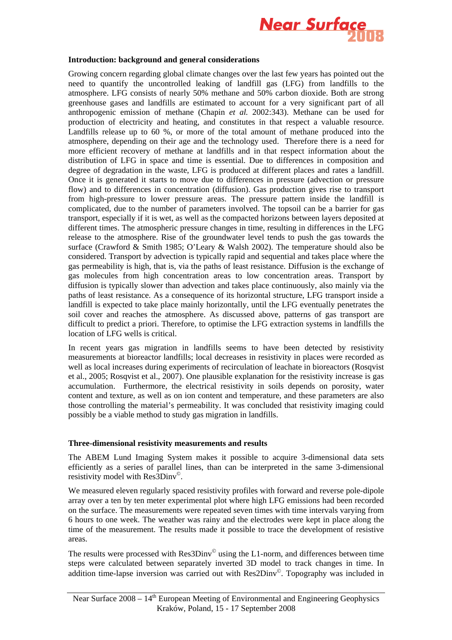

#### **Introduction: background and general considerations**

Growing concern regarding global climate changes over the last few years has pointed out the need to quantify the uncontrolled leaking of landfill gas (LFG) from landfills to the atmosphere. LFG consists of nearly 50% methane and 50% carbon dioxide. Both are strong greenhouse gases and landfills are estimated to account for a very significant part of all anthropogenic emission of methane (Chapin *et al.* 2002:343). Methane can be used for production of electricity and heating, and constitutes in that respect a valuable resource. Landfills release up to 60 %, or more of the total amount of methane produced into the atmosphere, depending on their age and the technology used. Therefore there is a need for more efficient recovery of methane at landfills and in that respect information about the distribution of LFG in space and time is essential. Due to differences in composition and degree of degradation in the waste, LFG is produced at different places and rates a landfill. Once it is generated it starts to move due to differences in pressure (advection or pressure flow) and to differences in concentration (diffusion). Gas production gives rise to transport from high-pressure to lower pressure areas. The pressure pattern inside the landfill is complicated, due to the number of parameters involved. The topsoil can be a barrier for gas transport, especially if it is wet, as well as the compacted horizons between layers deposited at different times. The atmospheric pressure changes in time, resulting in differences in the LFG release to the atmosphere. Rise of the groundwater level tends to push the gas towards the surface (Crawford & Smith 1985; O'Leary & Walsh 2002). The temperature should also be considered. Transport by advection is typically rapid and sequential and takes place where the gas permeability is high, that is, via the paths of least resistance. Diffusion is the exchange of gas molecules from high concentration areas to low concentration areas. Transport by diffusion is typically slower than advection and takes place continuously, also mainly via the paths of least resistance. As a consequence of its horizontal structure, LFG transport inside a landfill is expected to take place mainly horizontally, until the LFG eventually penetrates the soil cover and reaches the atmosphere. As discussed above, patterns of gas transport are difficult to predict a priori. Therefore, to optimise the LFG extraction systems in landfills the location of LFG wells is critical.

In recent years gas migration in landfills seems to have been detected by resistivity measurements at bioreactor landfills; local decreases in resistivity in places were recorded as well as local increases during experiments of recirculation of leachate in bioreactors (Rosqvist et al., 2005; Rosqvist et al., 2007). One plausible explanation for the resistivity increase is gas accumulation. Furthermore, the electrical resistivity in soils depends on porosity, water content and texture, as well as on ion content and temperature, and these parameters are also those controlling the material's permeability. It was concluded that resistivity imaging could possibly be a viable method to study gas migration in landfills.

### **Three-dimensional resistivity measurements and results**

The ABEM Lund Imaging System makes it possible to acquire 3-dimensional data sets efficiently as a series of parallel lines, than can be interpreted in the same 3-dimensional resistivity model with Res3Dinv©.

We measured eleven regularly spaced resistivity profiles with forward and reverse pole-dipole array over a ten by ten meter experimental plot where high LFG emissions had been recorded on the surface. The measurements were repeated seven times with time intervals varying from 6 hours to one week. The weather was rainy and the electrodes were kept in place along the time of the measurement. The results made it possible to trace the development of resistive areas.

The results were processed with  $\text{Res3Dinv}^{\odot}$  using the L1-norm, and differences between time steps were calculated between separately inverted 3D model to track changes in time. In addition time-lapse inversion was carried out with Res2Dinv©. Topography was included in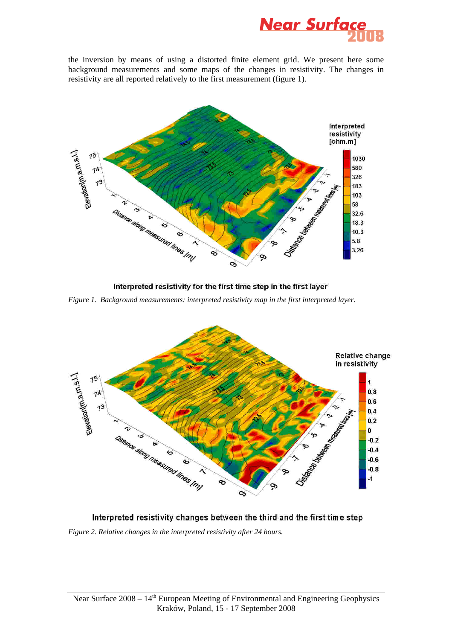

the inversion by means of using a distorted finite element grid. We present here some background measurements and some maps of the changes in resistivity. The changes in resistivity are all reported relatively to the first measurement (figure 1).



Interpreted resistivity for the first time step in the first layer

*Figure 1. Background measurements: interpreted resistivity map in the first interpreted layer.* 



## Interpreted resistivity changes between the third and the first time step

*Figure 2. Relative changes in the interpreted resistivity after 24 hours.*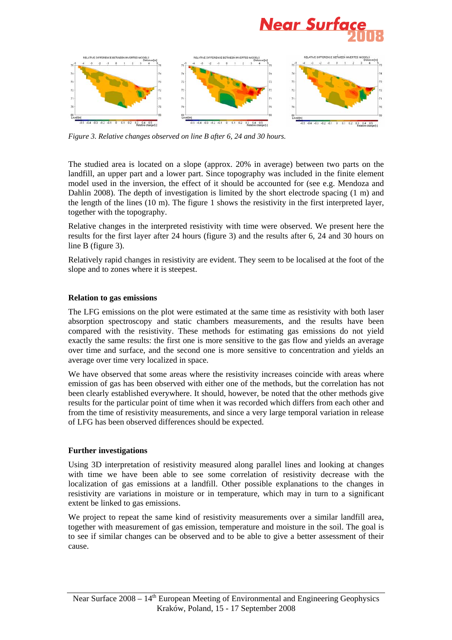



*Figure 3. Relative changes observed on line B after 6, 24 and 30 hours.* 

The studied area is located on a slope (approx. 20% in average) between two parts on the landfill, an upper part and a lower part. Since topography was included in the finite element model used in the inversion, the effect of it should be accounted for (see e.g. Mendoza and Dahlin 2008). The depth of investigation is limited by the short electrode spacing (1 m) and the length of the lines  $(10 \text{ m})$ . The figure 1 shows the resistivity in the first interpreted layer, together with the topography.

Relative changes in the interpreted resistivity with time were observed. We present here the results for the first layer after 24 hours (figure 3) and the results after 6, 24 and 30 hours on line B (figure 3).

Relatively rapid changes in resistivity are evident. They seem to be localised at the foot of the slope and to zones where it is steepest.

### **Relation to gas emissions**

The LFG emissions on the plot were estimated at the same time as resistivity with both laser absorption spectroscopy and static chambers measurements, and the results have been compared with the resistivity. These methods for estimating gas emissions do not yield exactly the same results: the first one is more sensitive to the gas flow and yields an average over time and surface, and the second one is more sensitive to concentration and yields an average over time very localized in space.

We have observed that some areas where the resistivity increases coincide with areas where emission of gas has been observed with either one of the methods, but the correlation has not been clearly established everywhere. It should, however, be noted that the other methods give results for the particular point of time when it was recorded which differs from each other and from the time of resistivity measurements, and since a very large temporal variation in release of LFG has been observed differences should be expected.

### **Further investigations**

Using 3D interpretation of resistivity measured along parallel lines and looking at changes with time we have been able to see some correlation of resistivity decrease with the localization of gas emissions at a landfill. Other possible explanations to the changes in resistivity are variations in moisture or in temperature, which may in turn to a significant extent be linked to gas emissions.

We project to repeat the same kind of resistivity measurements over a similar landfill area, together with measurement of gas emission, temperature and moisture in the soil. The goal is to see if similar changes can be observed and to be able to give a better assessment of their cause.